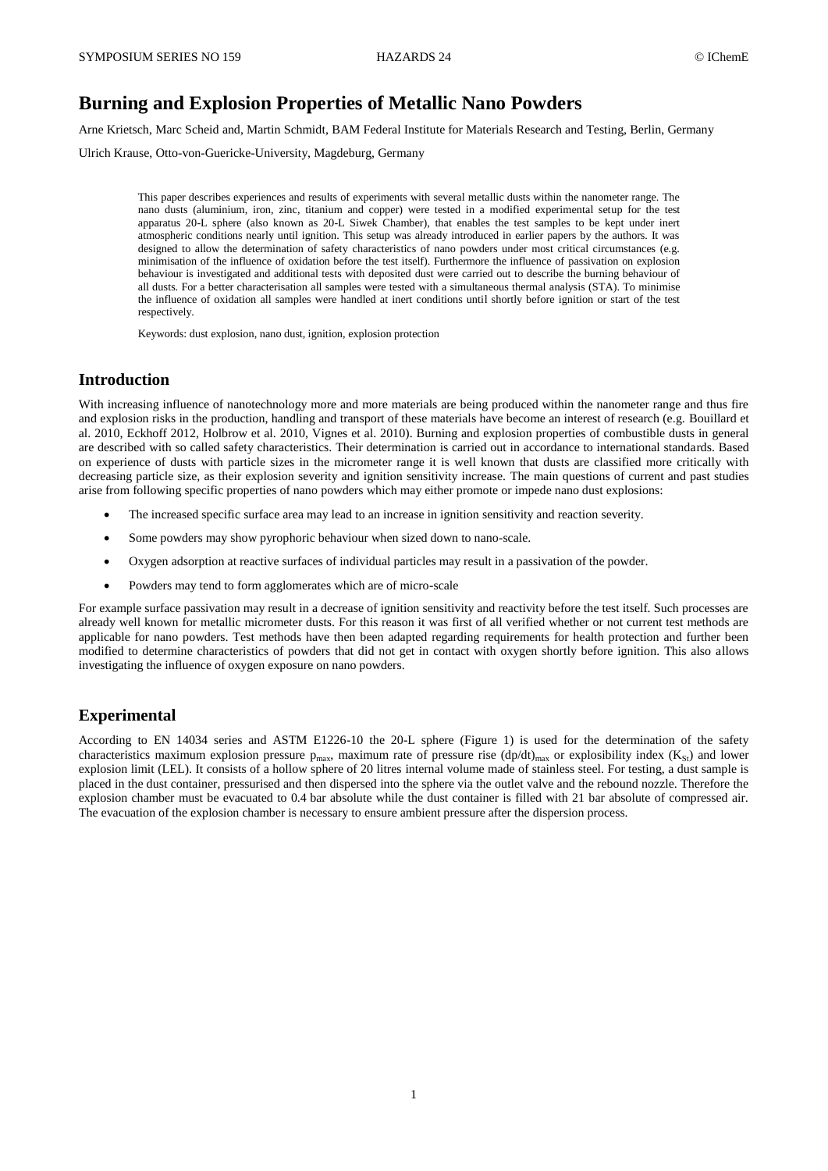# **Burning and Explosion Properties of Metallic Nano Powders**

Arne Krietsch, Marc Scheid and, Martin Schmidt, BAM Federal Institute for Materials Research and Testing, Berlin, Germany

Ulrich Krause, Otto-von-Guericke-University, Magdeburg, Germany

This paper describes experiences and results of experiments with several metallic dusts within the nanometer range. The nano dusts (aluminium, iron, zinc, titanium and copper) were tested in a modified experimental setup for the test apparatus 20-L sphere (also known as 20-L Siwek Chamber), that enables the test samples to be kept under inert atmospheric conditions nearly until ignition. This setup was already introduced in earlier papers by the authors. It was designed to allow the determination of safety characteristics of nano powders under most critical circumstances (e.g. minimisation of the influence of oxidation before the test itself). Furthermore the influence of passivation on explosion behaviour is investigated and additional tests with deposited dust were carried out to describe the burning behaviour of all dusts. For a better characterisation all samples were tested with a simultaneous thermal analysis (STA). To minimise the influence of oxidation all samples were handled at inert conditions until shortly before ignition or start of the test respectively.

Keywords: dust explosion, nano dust, ignition, explosion protection

## **Introduction**

With increasing influence of nanotechnology more and more materials are being produced within the nanometer range and thus fire and explosion risks in the production, handling and transport of these materials have become an interest of research (e.g. Bouillard et al. 2010, Eckhoff 2012, Holbrow et al. 2010, Vignes et al. 2010). Burning and explosion properties of combustible dusts in general are described with so called safety characteristics. Their determination is carried out in accordance to international standards. Based on experience of dusts with particle sizes in the micrometer range it is well known that dusts are classified more critically with decreasing particle size, as their explosion severity and ignition sensitivity increase. The main questions of current and past studies arise from following specific properties of nano powders which may either promote or impede nano dust explosions:

- The increased specific surface area may lead to an increase in ignition sensitivity and reaction severity.
- Some powders may show pyrophoric behaviour when sized down to nano-scale.
- Oxygen adsorption at reactive surfaces of individual particles may result in a passivation of the powder.
- Powders may tend to form agglomerates which are of micro-scale

For example surface passivation may result in a decrease of ignition sensitivity and reactivity before the test itself. Such processes are already well known for metallic micrometer dusts. For this reason it was first of all verified whether or not current test methods are applicable for nano powders. Test methods have then been adapted regarding requirements for health protection and further been modified to determine characteristics of powders that did not get in contact with oxygen shortly before ignition. This also allows investigating the influence of oxygen exposure on nano powders.

### **Experimental**

According to EN 14034 series and ASTM E1226-10 the 20-L sphere (Figure 1) is used for the determination of the safety characteristics maximum explosion pressure  $p_{max}$ , maximum rate of pressure rise (dp/dt)<sub>max</sub> or explosibility index (K<sub>St</sub>) and lower explosion limit (LEL). It consists of a hollow sphere of 20 litres internal volume made of stainless steel. For testing, a dust sample is placed in the dust container, pressurised and then dispersed into the sphere via the outlet valve and the rebound nozzle. Therefore the explosion chamber must be evacuated to 0.4 bar absolute while the dust container is filled with 21 bar absolute of compressed air. The evacuation of the explosion chamber is necessary to ensure ambient pressure after the dispersion process.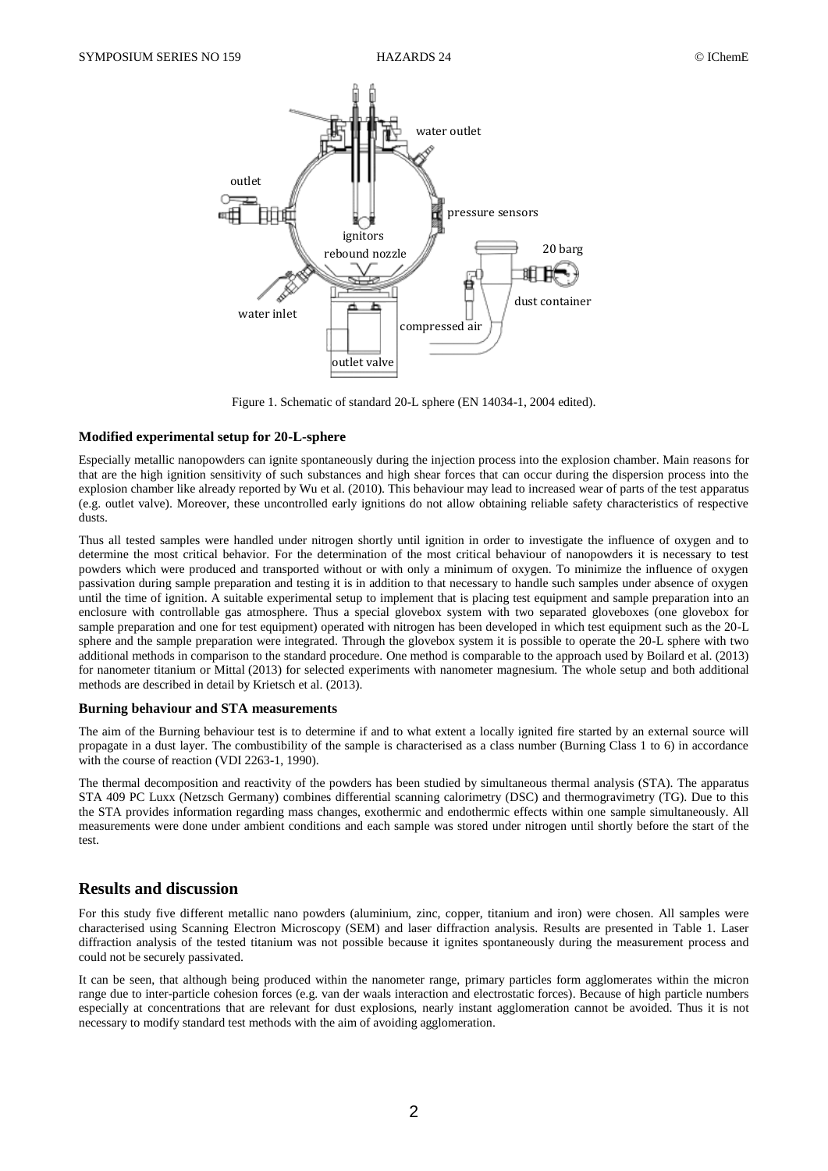

Figure 1. Schematic of standard 20-L sphere (EN 14034-1, 2004 edited).

#### **Modified experimental setup for 20-L-sphere**

Especially metallic nanopowders can ignite spontaneously during the injection process into the explosion chamber. Main reasons for that are the high ignition sensitivity of such substances and high shear forces that can occur during the dispersion process into the explosion chamber like already reported by Wu et al. (2010). This behaviour may lead to increased wear of parts of the test apparatus (e.g. outlet valve). Moreover, these uncontrolled early ignitions do not allow obtaining reliable safety characteristics of respective dusts.

Thus all tested samples were handled under nitrogen shortly until ignition in order to investigate the influence of oxygen and to determine the most critical behavior. For the determination of the most critical behaviour of nanopowders it is necessary to test powders which were produced and transported without or with only a minimum of oxygen. To minimize the influence of oxygen passivation during sample preparation and testing it is in addition to that necessary to handle such samples under absence of oxygen until the time of ignition. A suitable experimental setup to implement that is placing test equipment and sample preparation into an enclosure with controllable gas atmosphere. Thus a special glovebox system with two separated gloveboxes (one glovebox for sample preparation and one for test equipment) operated with nitrogen has been developed in which test equipment such as the 20-L sphere and the sample preparation were integrated. Through the glovebox system it is possible to operate the 20-L sphere with two additional methods in comparison to the standard procedure. One method is comparable to the approach used by Boilard et al. (2013) for nanometer titanium or Mittal (2013) for selected experiments with nanometer magnesium. The whole setup and both additional methods are described in detail by Krietsch et al. (2013).

#### **Burning behaviour and STA measurements**

The aim of the Burning behaviour test is to determine if and to what extent a locally ignited fire started by an external source will propagate in a dust layer. The combustibility of the sample is characterised as a class number (Burning Class 1 to 6) in accordance with the course of reaction (VDI 2263-1, 1990).

The thermal decomposition and reactivity of the powders has been studied by simultaneous thermal analysis (STA). The apparatus STA 409 PC Luxx (Netzsch Germany) combines differential scanning calorimetry (DSC) and thermogravimetry (TG). Due to this the STA provides information regarding mass changes, exothermic and endothermic effects within one sample simultaneously. All measurements were done under ambient conditions and each sample was stored under nitrogen until shortly before the start of the test.

# **Results and discussion**

For this study five different metallic nano powders (aluminium, zinc, copper, titanium and iron) were chosen. All samples were characterised using Scanning Electron Microscopy (SEM) and laser diffraction analysis. Results are presented in Table 1. Laser diffraction analysis of the tested titanium was not possible because it ignites spontaneously during the measurement process and could not be securely passivated.

It can be seen, that although being produced within the nanometer range, primary particles form agglomerates within the micron range due to inter-particle cohesion forces (e.g. van der waals interaction and electrostatic forces). Because of high particle numbers especially at concentrations that are relevant for dust explosions, nearly instant agglomeration cannot be avoided. Thus it is not necessary to modify standard test methods with the aim of avoiding agglomeration.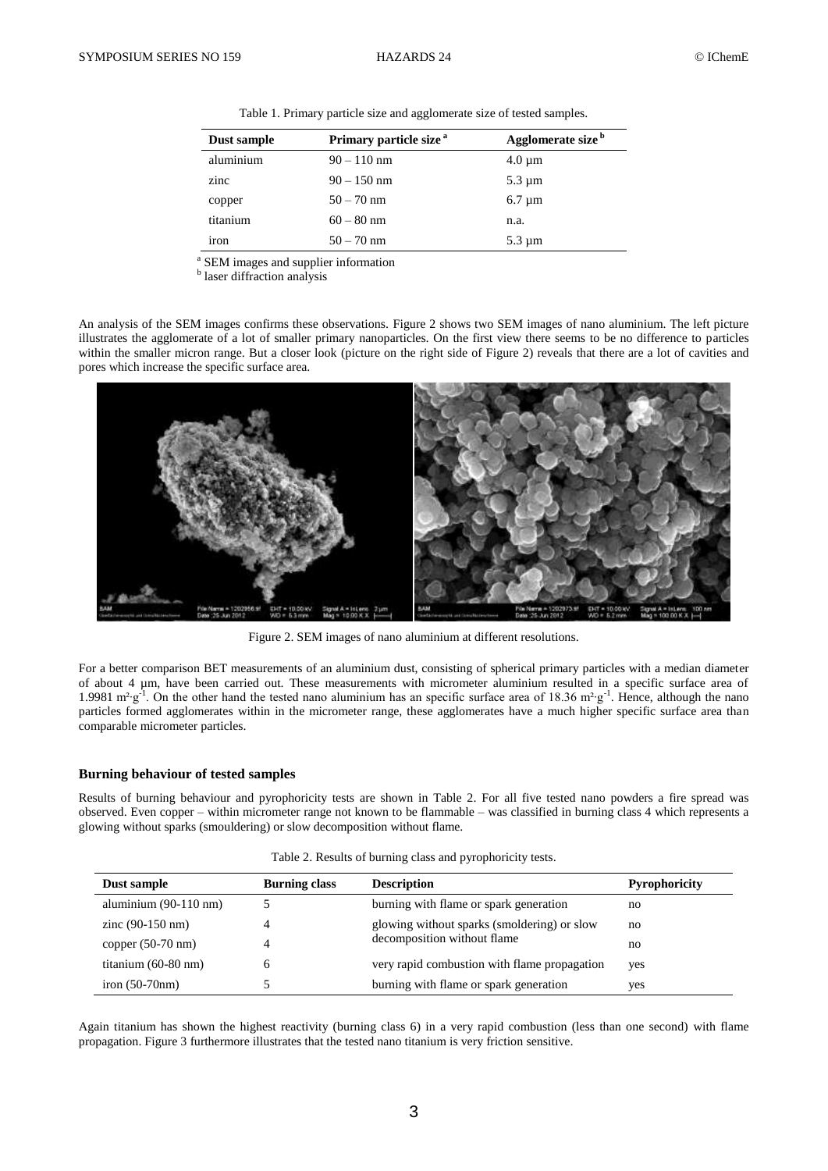| Dust sample | Primary particle size <sup>a</sup> | Agglomerate size <sup>b</sup> |
|-------------|------------------------------------|-------------------------------|
| aluminium   | $90 - 110$ nm                      | $4.0 \mu m$                   |
| zinc        | $90 - 150$ nm                      | $5.3 \mu m$                   |
| copper      | $50 - 70$ nm                       | $6.7 \mu m$                   |
| titanium    | $60 - 80$ nm                       | n.a.                          |
| 1ron        | $50 - 70$ nm                       | $5.3 \mu m$                   |

Table 1. Primary particle size and agglomerate size of tested samples.

a SEM images and supplier information

**b** laser diffraction analysis

An analysis of the SEM images confirms these observations. Figure 2 shows two SEM images of nano aluminium. The left picture illustrates the agglomerate of a lot of smaller primary nanoparticles. On the first view there seems to be no difference to particles within the smaller micron range. But a closer look (picture on the right side of Figure 2) reveals that there are a lot of cavities and pores which increase the specific surface area.



Figure 2. SEM images of nano aluminium at different resolutions.

For a better comparison BET measurements of an aluminium dust, consisting of spherical primary particles with a median diameter of about 4 µm, have been carried out. These measurements with micrometer aluminium resulted in a specific surface area of 1.9981 m<sup>2</sup>⋅g<sup>-1</sup>. On the other hand the tested nano aluminium has an specific surface area of 18.36 m<sup>2</sup>⋅g<sup>-1</sup>. Hence, although the nano particles formed agglomerates within in the micrometer range, these agglomerates have a much higher specific surface area than comparable micrometer particles.

#### **Burning behaviour of tested samples**

Results of burning behaviour and pyrophoricity tests are shown in Table 2. For all five tested nano powders a fire spread was observed. Even copper – within micrometer range not known to be flammable – was classified in burning class 4 which represents a glowing without sparks (smouldering) or slow decomposition without flame.

| Dust sample                                                             | <b>Burning class</b> | <b>Description</b>                           | <b>Pyrophoricity</b> |
|-------------------------------------------------------------------------|----------------------|----------------------------------------------|----------------------|
| aluminium (90-110 nm)                                                   |                      | burning with flame or spark generation       | no                   |
| $\frac{\text{zinc}(90-150 \text{ nm})}{\text{zinc}(90-150 \text{ nm})}$ |                      | glowing without sparks (smoldering) or slow  | no                   |
| copper $(50-70 \text{ nm})$                                             |                      | decomposition without flame                  | no                   |
| titanium $(60-80$ nm $)$                                                |                      | very rapid combustion with flame propagation | yes                  |
| iron $(50-70nm)$                                                        |                      | burning with flame or spark generation       | yes                  |

Table 2. Results of burning class and pyrophoricity tests.

Again titanium has shown the highest reactivity (burning class 6) in a very rapid combustion (less than one second) with flame propagation. Figure 3 furthermore illustrates that the tested nano titanium is very friction sensitive.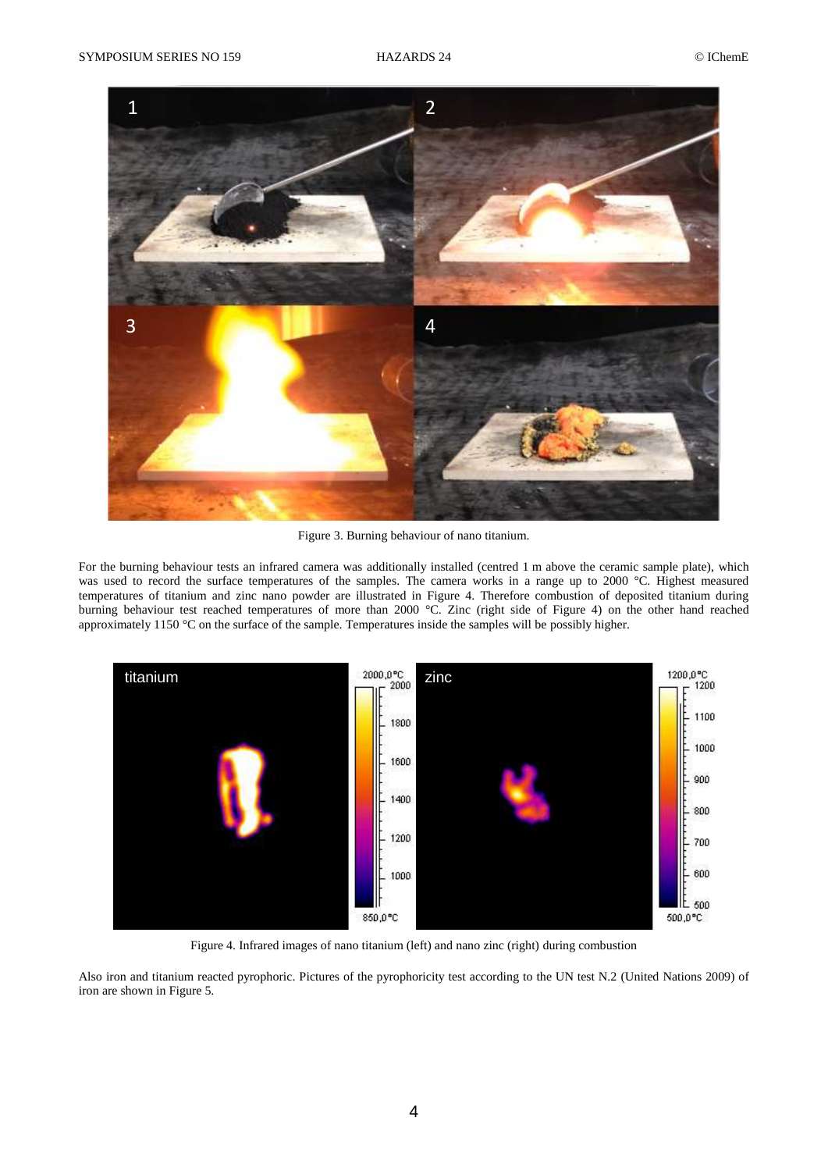

Figure 3. Burning behaviour of nano titanium.

For the burning behaviour tests an infrared camera was additionally installed (centred 1 m above the ceramic sample plate), which was used to record the surface temperatures of the samples. The camera works in a range up to 2000 °C. Highest measured temperatures of titanium and zinc nano powder are illustrated in Figure 4. Therefore combustion of deposited titanium during burning behaviour test reached temperatures of more than 2000 °C. Zinc (right side of Figure 4) on the other hand reached approximately 1150 °C on the surface of the sample. Temperatures inside the samples will be possibly higher.



Figure 4. Infrared images of nano titanium (left) and nano zinc (right) during combustion

Also iron and titanium reacted pyrophoric. Pictures of the pyrophoricity test according to the UN test N.2 (United Nations 2009) of iron are shown in Figure 5.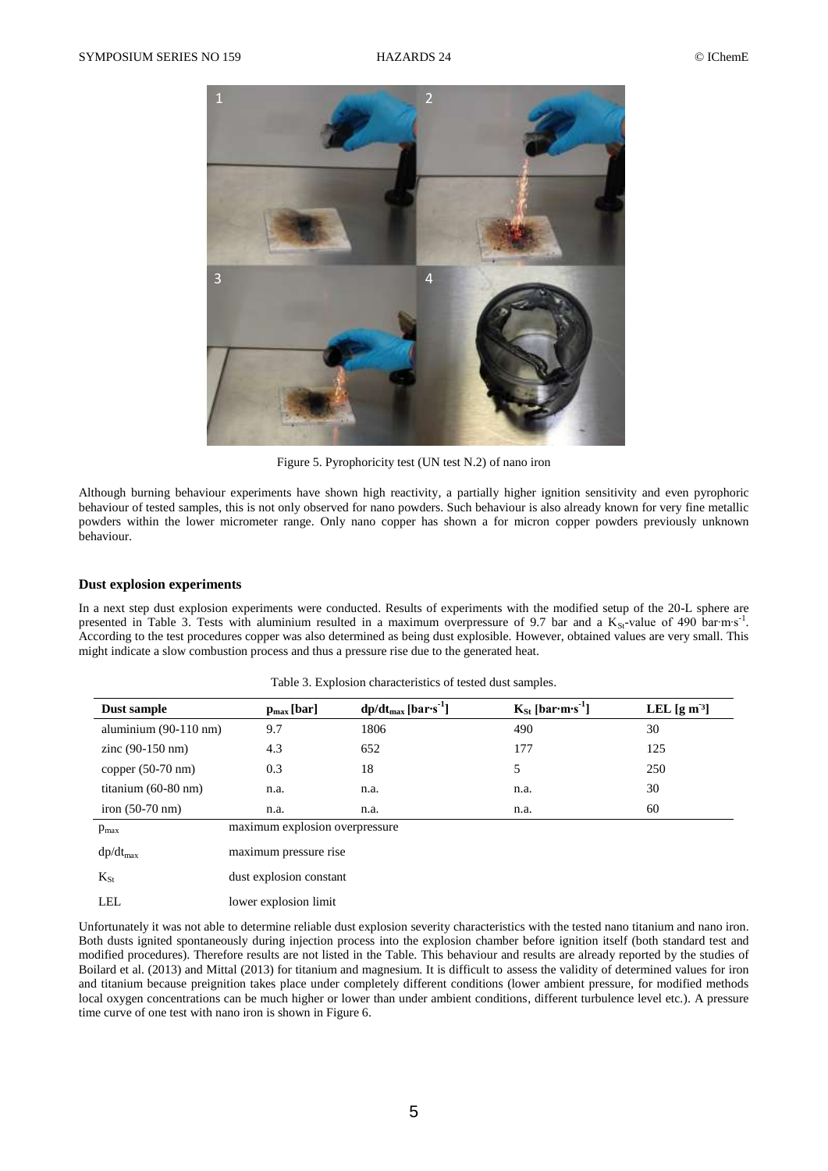

Figure 5. Pyrophoricity test (UN test N.2) of nano iron

Although burning behaviour experiments have shown high reactivity, a partially higher ignition sensitivity and even pyrophoric behaviour of tested samples, this is not only observed for nano powders. Such behaviour is also already known for very fine metallic powders within the lower micrometer range. Only nano copper has shown a for micron copper powders previously unknown behaviour.

#### **Dust explosion experiments**

In a next step dust explosion experiments were conducted. Results of experiments with the modified setup of the 20-L sphere are presented in Table 3. Tests with aluminium resulted in a maximum overpressure of 9.7 bar and a K<sub>St</sub>-value of 490 bar·m⋅s<sup>-1</sup>. According to the test procedures copper was also determined as being dust explosible. However, obtained values are very small. This might indicate a slow combustion process and thus a pressure rise due to the generated heat.

| Dust sample                 | $p_{max}[bar]$                 | $dp/dt_{max}$ [bar·s <sup>-1</sup> ] | $K_{St}$ [bar·m·s <sup>-1</sup> ] | LEL $\left[\frac{\text{g}}{\text{m}^3}\right]$ |
|-----------------------------|--------------------------------|--------------------------------------|-----------------------------------|------------------------------------------------|
| aluminium $(90-110$ nm)     | 9.7                            | 1806                                 | 490                               | 30                                             |
| $zinc(90-150 nm)$           | 4.3                            | 652                                  | 177                               | 125                                            |
| copper $(50-70 \text{ nm})$ | 0.3                            | 18                                   |                                   | 250                                            |
| titanium $(60-80$ nm $)$    | n.a.                           | n.a.                                 | n.a.                              | 30                                             |
| iron $(50-70)$ nm)          | n.a.                           | n.a.                                 | n.a.                              | 60                                             |
| $p_{\text{max}}$            | maximum explosion overpressure |                                      |                                   |                                                |
|                             |                                |                                      |                                   |                                                |

Table 3. Explosion characteristics of tested dust samples.

| $dp/dt_{max}$   | maximum pressure rise   |
|-----------------|-------------------------|
| $K_{S_{\rm f}}$ | dust explosion constant |
| LEL.            | lower explosion limit   |

Unfortunately it was not able to determine reliable dust explosion severity characteristics with the tested nano titanium and nano iron. Both dusts ignited spontaneously during injection process into the explosion chamber before ignition itself (both standard test and modified procedures). Therefore results are not listed in the Table. This behaviour and results are already reported by the studies of Boilard et al. (2013) and Mittal (2013) for titanium and magnesium. It is difficult to assess the validity of determined values for iron and titanium because preignition takes place under completely different conditions (lower ambient pressure, for modified methods local oxygen concentrations can be much higher or lower than under ambient conditions, different turbulence level etc.). A pressure time curve of one test with nano iron is shown in Figure 6.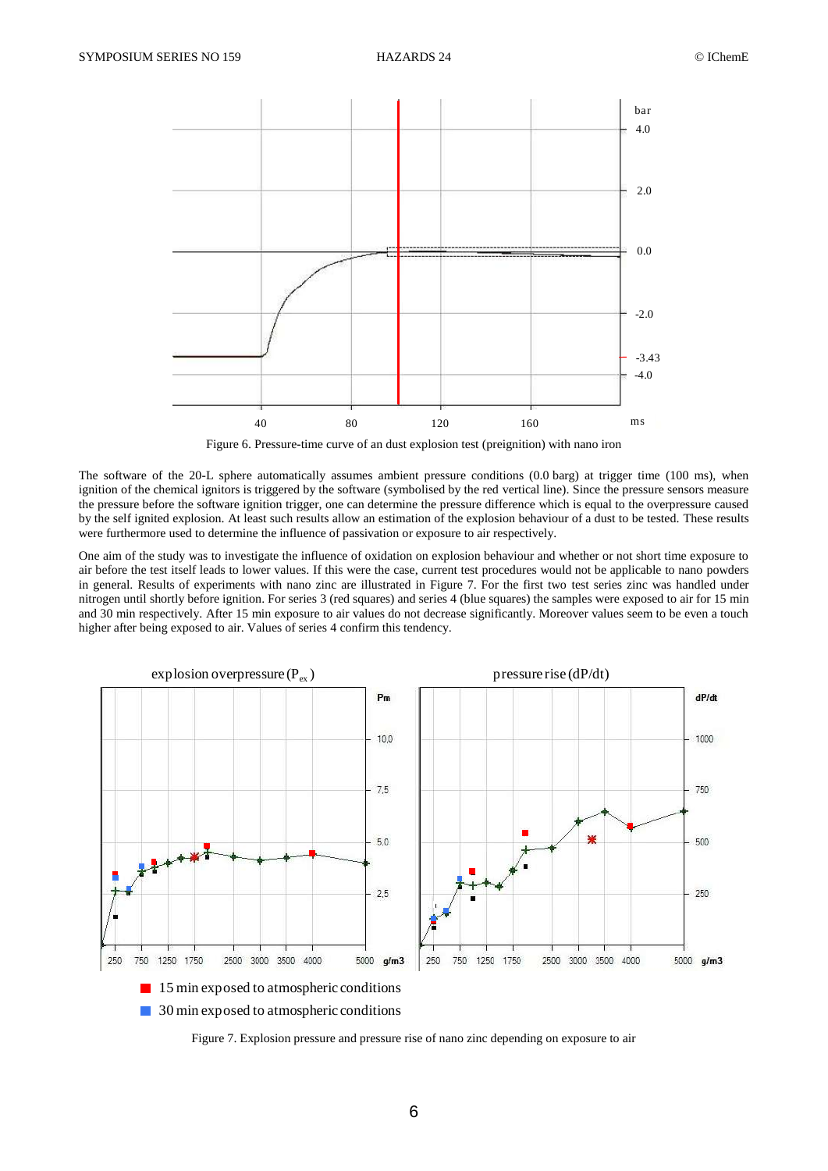

Figure 6. Pressure-time curve of an dust explosion test (preignition) with nano iron

The software of the 20-L sphere automatically assumes ambient pressure conditions (0.0 barg) at trigger time (100 ms), when ignition of the chemical ignitors is triggered by the software (symbolised by the red vertical line). Since the pressure sensors measure the pressure before the software ignition trigger, one can determine the pressure difference which is equal to the overpressure caused by the self ignited explosion. At least such results allow an estimation of the explosion behaviour of a dust to be tested. These results were furthermore used to determine the influence of passivation or exposure to air respectively.

One aim of the study was to investigate the influence of oxidation on explosion behaviour and whether or not short time exposure to air before the test itself leads to lower values. If this were the case, current test procedures would not be applicable to nano powders in general. Results of experiments with nano zinc are illustrated in Figure 7. For the first two test series zinc was handled under nitrogen until shortly before ignition. For series 3 (red squares) and series 4 (blue squares) the samples were exposed to air for 15 min and 30 min respectively. After 15 min exposure to air values do not decrease significantly. Moreover values seem to be even a touch higher after being exposed to air. Values of series 4 confirm this tendency. For the first two test seriations of the samples we dificantly. Moreover value of  $dP/dt$ )



Figure 7. Explosion pressure and pressure rise of nano zinc depending on exposure to air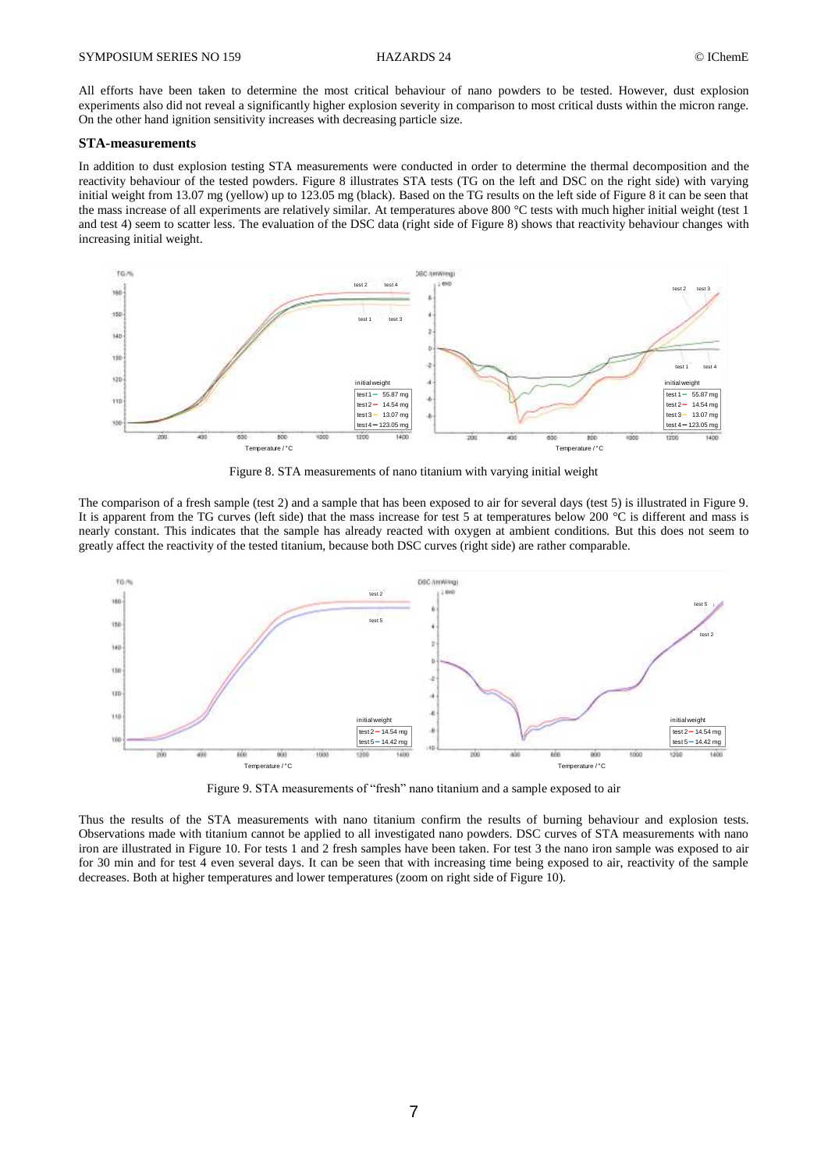All efforts have been taken to determine the most critical behaviour of nano powders to be tested. However, dust explosion experiments also did not reveal a significantly higher explosion severity in comparison to most critical dusts within the micron range. On the other hand ignition sensitivity increases with decreasing particle size.

#### **STA-measurements**

In addition to dust explosion testing STA measurements were conducted in order to determine the thermal decomposition and the reactivity behaviour of the tested powders. Figure 8 illustrates STA tests (TG on the left and DSC on the right side) with varying initial weight from 13.07 mg (yellow) up to 123.05 mg (black). Based on the TG results on the left side of Figure 8 it can be seen that the mass increase of all experiments are relatively similar. At temperatures above 800 °C tests with much higher initial weight (test 1 and test 4) seem to scatter less. The evaluation of the DSC data (right side of Figure 8) shows that reactivity behaviour changes with increasing initial weight.



Figure 8. STA measurements of nano titanium with varying initial weight

The comparison of a fresh sample (test 2) and a sample that has been exposed to air for several days (test 5) is illustrated in Figure 9. It is apparent from the TG curves (left side) that the mass increase for test 5 at temperatures below 200 °C is different and mass is nearly constant. This indicates that the sample has already reacted with oxygen at ambient conditions. But this does not seem to greatly affect the reactivity of the tested titanium, because both DSC curves (right side) are rather comparable.



Figure 9. STA measurements of "fresh" nano titanium and a sample exposed to air

Thus the results of the STA measurements with nano titanium confirm the results of burning behaviour and explosion tests. Observations made with titanium cannot be applied to all investigated nano powders. DSC curves of STA measurements with nano iron are illustrated in Figure 10. For tests 1 and 2 fresh samples have been taken. For test 3 the nano iron sample was exposed to air for 30 min and for test 4 even several days. It can be seen that with increasing time being exposed to air, reactivity of the sample decreases. Both at higher temperatures and lower temperatures (zoom on right side of Figure 10).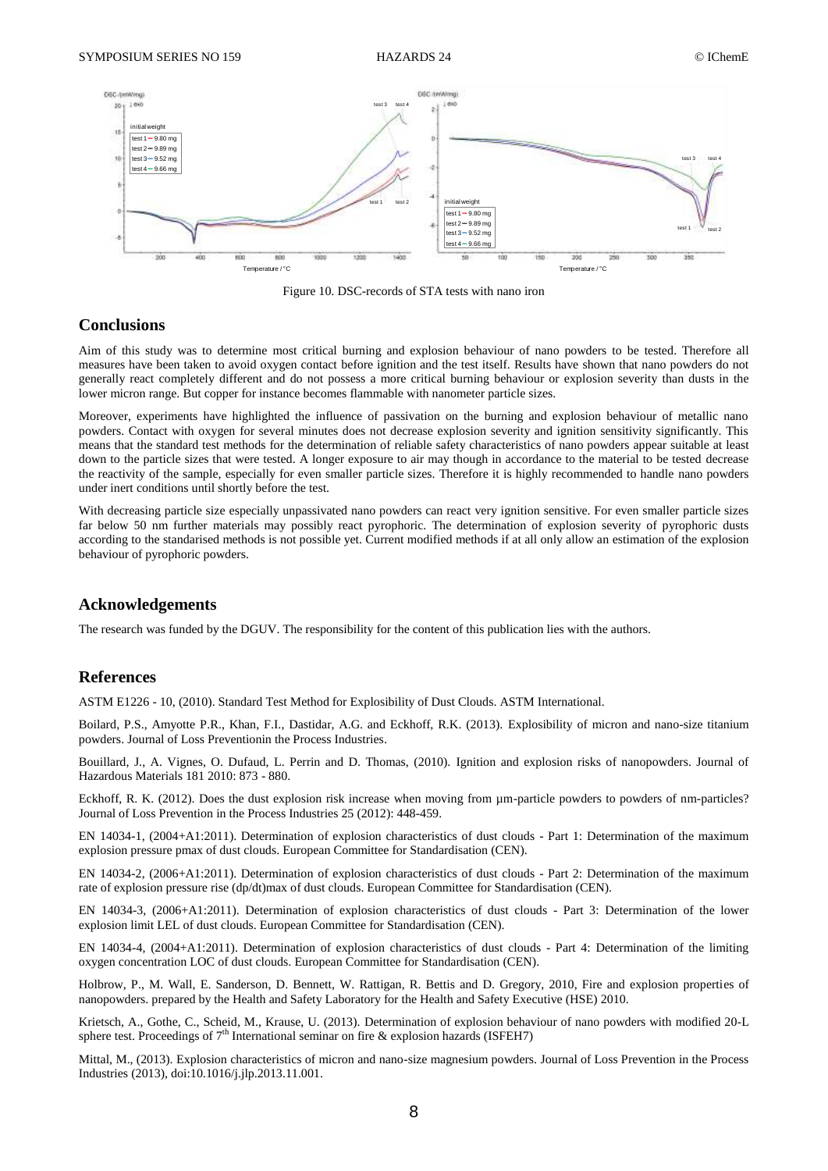

Figure 10. DSC-records of STA tests with nano iron

# **Conclusions**

Aim of this study was to determine most critical burning and explosion behaviour of nano powders to be tested. Therefore all measures have been taken to avoid oxygen contact before ignition and the test itself. Results have shown that nano powders do not generally react completely different and do not possess a more critical burning behaviour or explosion severity than dusts in the lower micron range. But copper for instance becomes flammable with nanometer particle sizes.

Moreover, experiments have highlighted the influence of passivation on the burning and explosion behaviour of metallic nano powders. Contact with oxygen for several minutes does not decrease explosion severity and ignition sensitivity significantly. This means that the standard test methods for the determination of reliable safety characteristics of nano powders appear suitable at least down to the particle sizes that were tested. A longer exposure to air may though in accordance to the material to be tested decrease the reactivity of the sample, especially for even smaller particle sizes. Therefore it is highly recommended to handle nano powders under inert conditions until shortly before the test.

With decreasing particle size especially unpassivated nano powders can react very ignition sensitive. For even smaller particle sizes far below 50 nm further materials may possibly react pyrophoric. The determination of explosion severity of pyrophoric dusts according to the standarised methods is not possible yet. Current modified methods if at all only allow an estimation of the explosion behaviour of pyrophoric powders.

### **Acknowledgements**

The research was funded by the DGUV. The responsibility for the content of this publication lies with the authors.

### **References**

ASTM E1226 - 10, (2010). Standard Test Method for Explosibility of Dust Clouds. ASTM International.

Boilard, P.S., Amyotte P.R., Khan, F.I., Dastidar, A.G. and Eckhoff, R.K. (2013). Explosibility of micron and nano-size titanium powders. Journal of Loss Preventionin the Process Industries.

Bouillard, J., A. Vignes, O. Dufaud, L. Perrin and D. Thomas, (2010). Ignition and explosion risks of nanopowders. Journal of Hazardous Materials 181 2010: 873 - 880.

Eckhoff, R. K. (2012). Does the dust explosion risk increase when moving from  $\mu$ m-particle powders to powders of nm-particles? Journal of Loss Prevention in the Process Industries 25 (2012): 448-459.

EN 14034-1, (2004+A1:2011). Determination of explosion characteristics of dust clouds - Part 1: Determination of the maximum explosion pressure pmax of dust clouds. European Committee for Standardisation (CEN).

EN 14034-2, (2006+A1:2011). Determination of explosion characteristics of dust clouds - Part 2: Determination of the maximum rate of explosion pressure rise (dp/dt)max of dust clouds. European Committee for Standardisation (CEN).

EN 14034-3, (2006+A1:2011). Determination of explosion characteristics of dust clouds - Part 3: Determination of the lower explosion limit LEL of dust clouds. European Committee for Standardisation (CEN).

EN 14034-4, (2004+A1:2011). Determination of explosion characteristics of dust clouds - Part 4: Determination of the limiting oxygen concentration LOC of dust clouds. European Committee for Standardisation (CEN).

Holbrow, P., M. Wall, E. Sanderson, D. Bennett, W. Rattigan, R. Bettis and D. Gregory, 2010, Fire and explosion properties of nanopowders. prepared by the Health and Safety Laboratory for the Health and Safety Executive (HSE) 2010.

Krietsch, A., Gothe, C., Scheid, M., Krause, U. (2013). Determination of explosion behaviour of nano powders with modified 20-L sphere test. Proceedings of  $7<sup>th</sup>$  International seminar on fire & explosion hazards (ISFEH7)

Mittal, M., (2013). Explosion characteristics of micron and nano-size magnesium powders. Journal of Loss Prevention in the Process Industries (2013), doi:10.1016/j.jlp.2013.11.001.